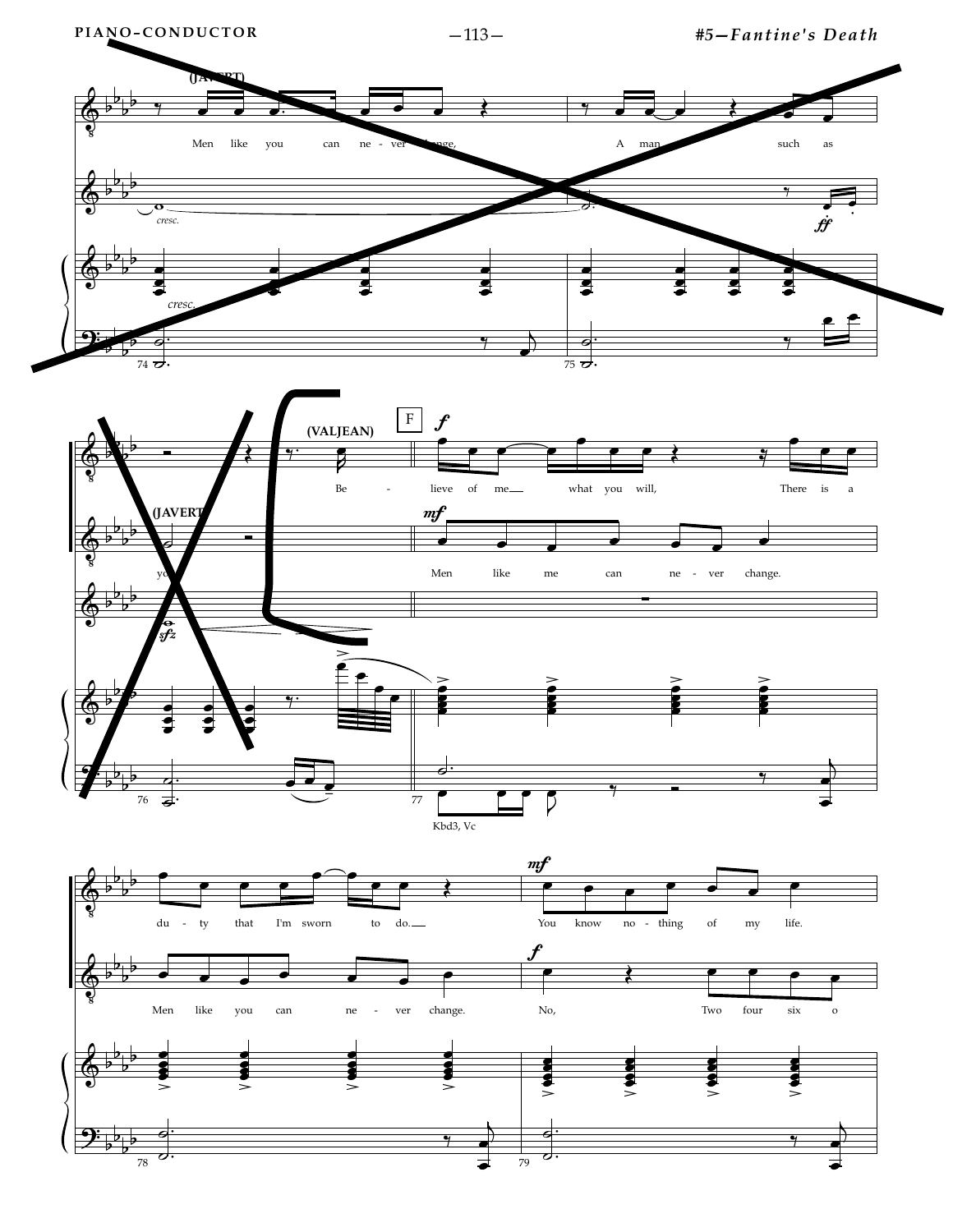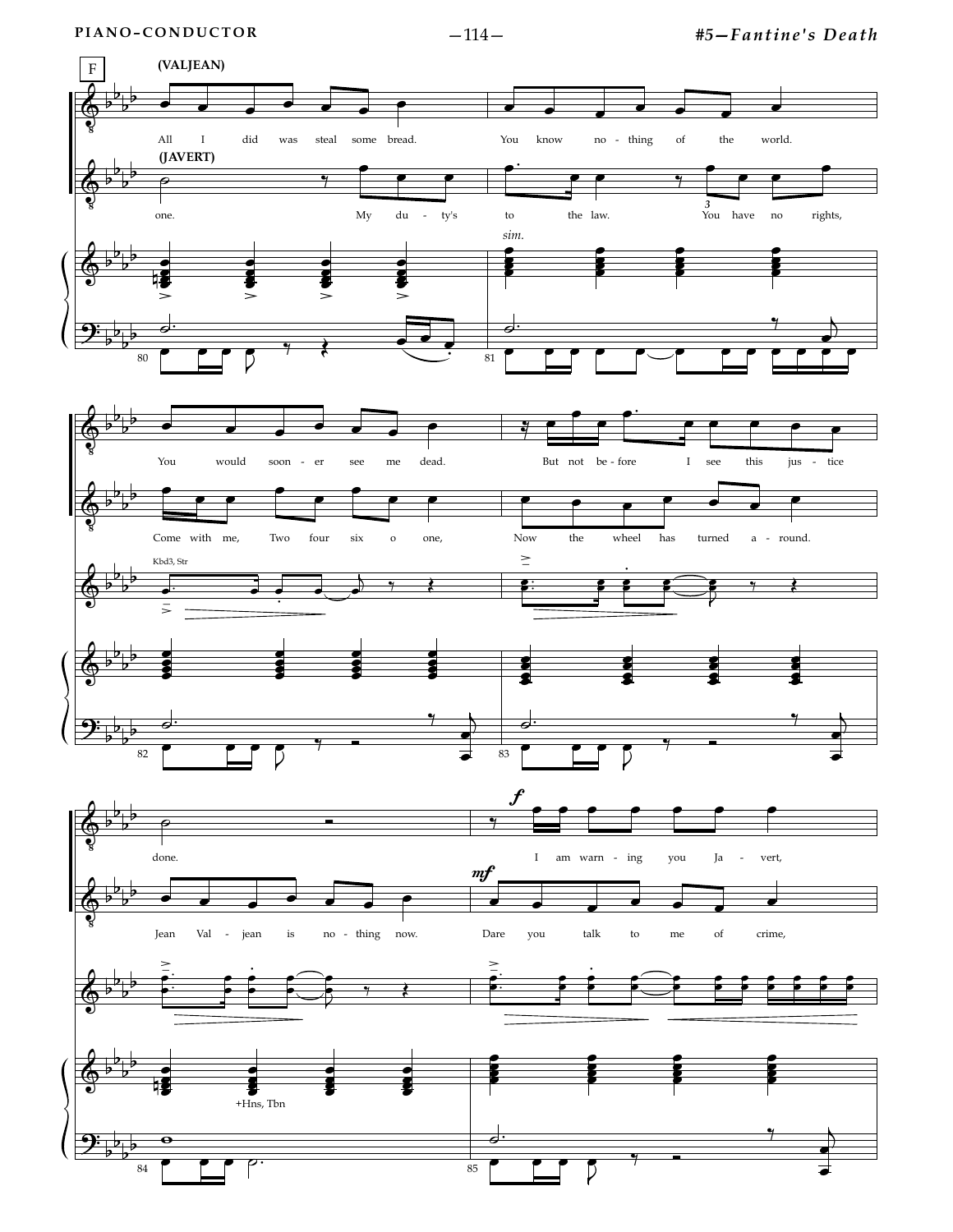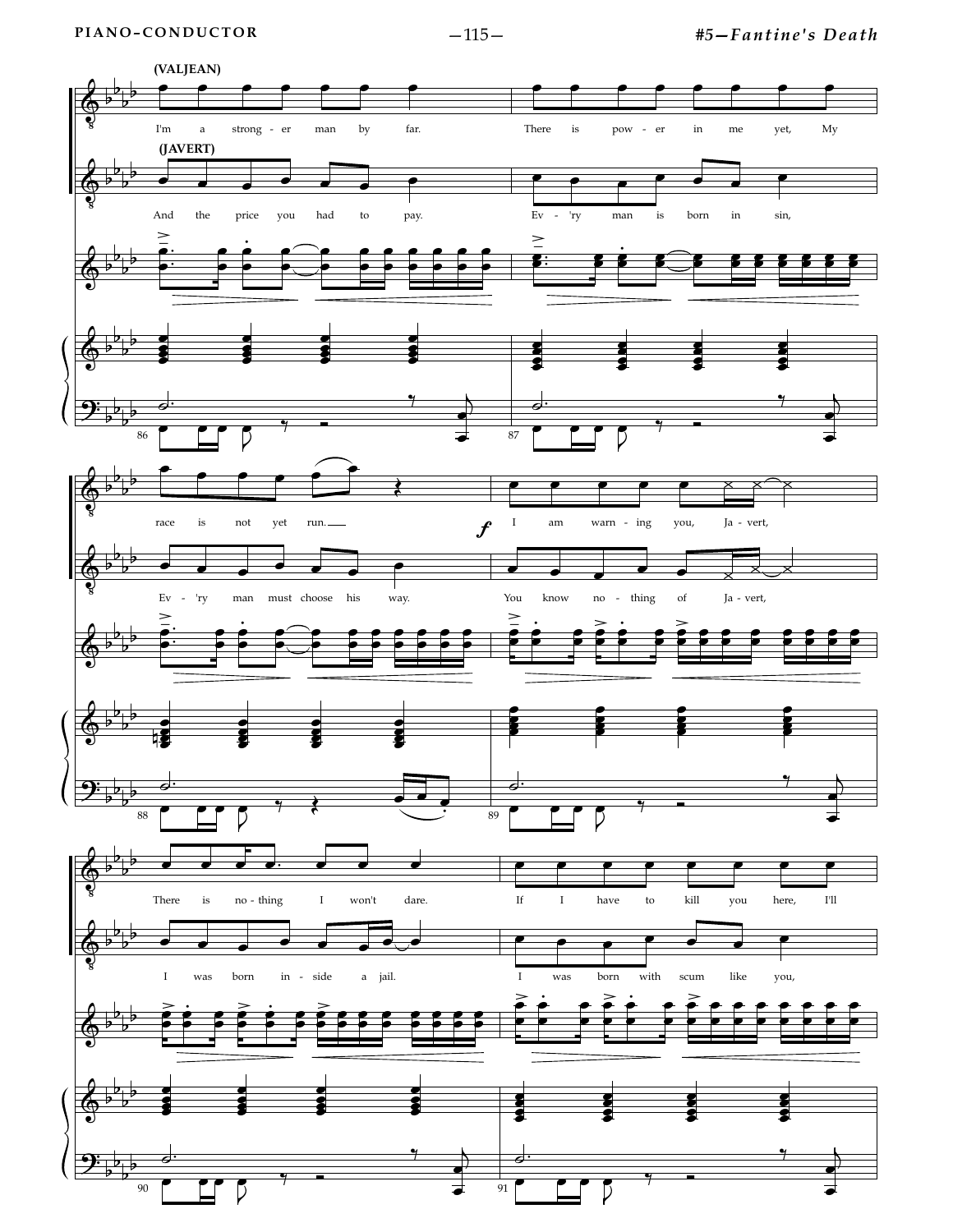